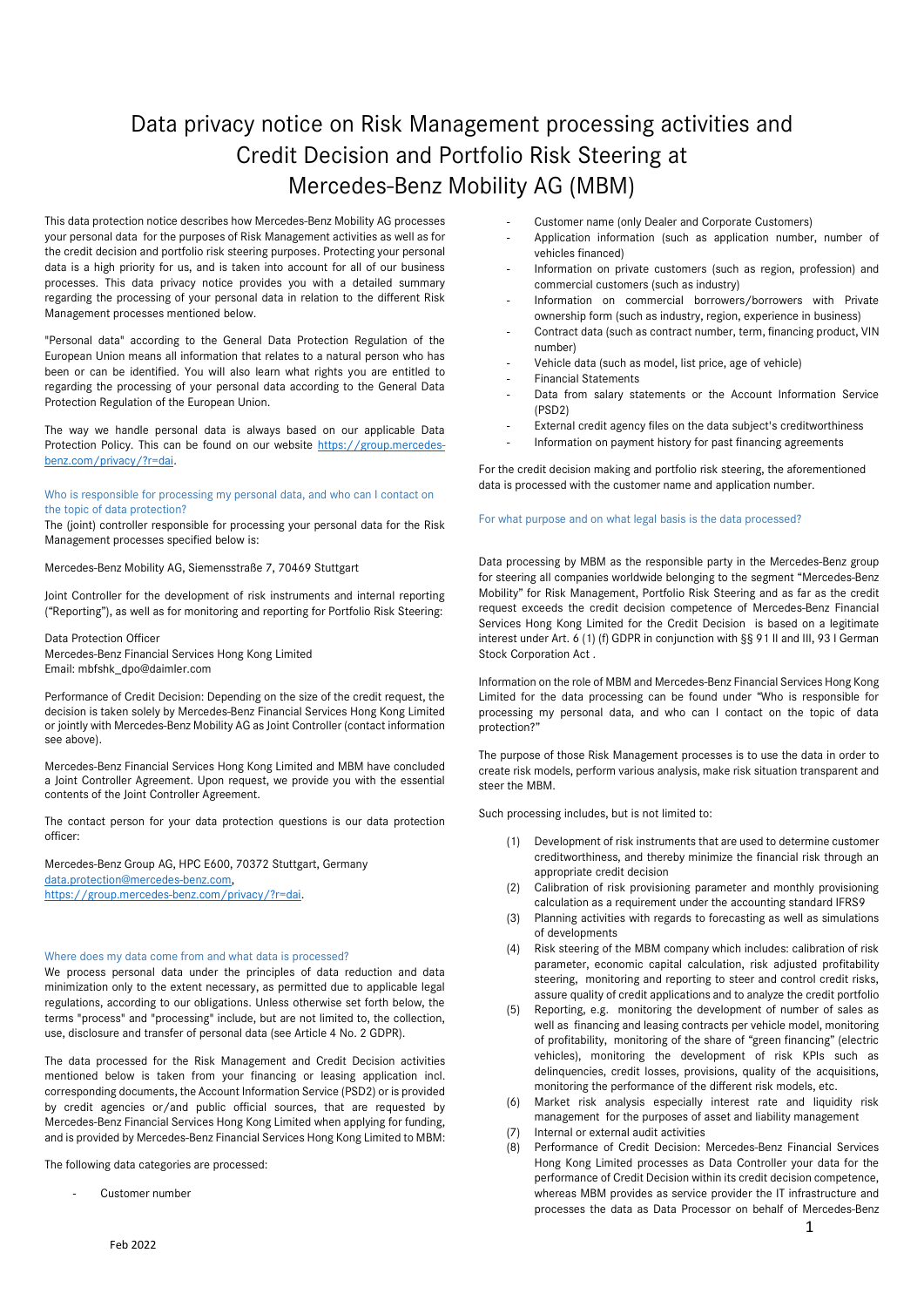# Data privacy notice on Risk Management processing activities and Credit Decision and Portfolio Risk Steering at Mercedes-Benz Mobility AG (MBM)

This data protection notice describes how Mercedes-Benz Mobility AG processes your personal data for the purposes of Risk Management activities as well as for the credit decision and portfolio risk steering purposes. Protecting your personal data is a high priority for us, and is taken into account for all of our business processes. This data privacy notice provides you with a detailed summary regarding the processing of your personal data in relation to the different Risk Management processes mentioned below.

"Personal data" according to the General Data Protection Regulation of the European Union means all information that relates to a natural person who has been or can be identified. You will also learn what rights you are entitled to regarding the processing of your personal data according to the General Data Protection Regulation of the European Union.

The way we handle personal data is always based on our applicable Data Protection Policy. This can be found on our website [https://group.mercedes](https://group.mercedes-benz.com/privacy/?r=dai)[benz.com/privacy/?r=dai.](https://group.mercedes-benz.com/privacy/?r=dai)

#### Who is responsible for processing my personal data, and who can I contact on the topic of data protection?

The (joint) controller responsible for processing your personal data for the Risk Management processes specified below is:

Mercedes-Benz Mobility AG, Siemensstraße 7, 70469 Stuttgart

Joint Controller for the development of risk instruments and internal reporting ("Reporting"), as well as for monitoring and reporting for Portfolio Risk Steering:

Data Protection Officer Mercedes-Benz Financial Services Hong Kong Limited

Email: mbfshk\_dpo@daimler.com

Performance of Credit Decision: Depending on the size of the credit request, the decision is taken solely by Mercedes-Benz Financial Services Hong Kong Limited or jointly with Mercedes-Benz Mobility AG as Joint Controller (contact information see above).

Mercedes-Benz Financial Services Hong Kong Limited and MBM have concluded a Joint Controller Agreement. Upon request, we provide you with the essential contents of the Joint Controller Agreement.

The contact person for your data protection questions is our data protection officer:

Mercedes-Benz Group AG, HPC E600, 70372 Stuttgart, Germany [data.protection@mercedes-benz.com,](mailto:data.protection@mercedes-benz.com) [https://group.mercedes-benz.com/privacy/?r=dai.](https://group.mercedes-benz.com/privacy/?r=dai)

## Where does my data come from and what data is processed?

We process personal data under the principles of data reduction and data minimization only to the extent necessary, as permitted due to applicable legal regulations, according to our obligations. Unless otherwise set forth below, the terms "process" and "processing" include, but are not limited to, the collection, use, disclosure and transfer of personal data (see Article 4 No. 2 GDPR).

The data processed for the Risk Management and Credit Decision activities mentioned below is taken from your financing or leasing application incl. corresponding documents, the Account Information Service (PSD2) or is provided by credit agencies or/and public official sources, that are requested by Mercedes-Benz Financial Services Hong Kong Limited when applying for funding, and is provided by Mercedes-Benz Financial Services Hong Kong Limited to MBM:

The following data categories are processed:

Customer number

- Customer name (only Dealer and Corporate Customers)
- Application information (such as application number, number of vehicles financed)
- Information on private customers (such as region, profession) and commercial customers (such as industry)
- Information on commercial borrowers/borrowers with Private ownership form (such as industry, region, experience in business)
- Contract data (such as contract number, term, financing product, VIN number)
- Vehicle data (such as model, list price, age of vehicle)
- Financial Statements
- Data from salary statements or the Account Information Service (PSD2)
- External credit agency files on the data subject's creditworthiness
- Information on payment history for past financing agreements

For the credit decision making and portfolio risk steering, the aforementioned data is processed with the customer name and application number.

# For what purpose and on what legal basis is the data processed?

Data processing by MBM as the responsible party in the Mercedes-Benz group for steering all companies worldwide belonging to the segment "Mercedes-Benz Mobility" for Risk Management, Portfolio Risk Steering and as far as the credit request exceeds the credit decision competence of Mercedes-Benz Financial Services Hong Kong Limited for the Credit Decision is based on a legitimate interest under Art. 6 (1) (f) GDPR in conjunction with §§ 91 II and III, 93 I German Stock Corporation Act .

Information on the role of MBM and Mercedes-Benz Financial Services Hong Kong Limited for the data processing can be found under "Who is responsible for processing my personal data, and who can I contact on the topic of data protection?"

The purpose of those Risk Management processes is to use the data in order to create risk models, perform various analysis, make risk situation transparent and steer the MBM.

Such processing includes, but is not limited to:

- (1) Development of risk instruments that are used to determine customer creditworthiness, and thereby minimize the financial risk through an appropriate credit decision
- (2) Calibration of risk provisioning parameter and monthly provisioning calculation as a requirement under the accounting standard IFRS9
- (3) Planning activities with regards to forecasting as well as simulations of developments
- (4) Risk steering of the MBM company which includes: calibration of risk parameter, economic capital calculation, risk adjusted profitability steering, monitoring and reporting to steer and control credit risks, assure quality of credit applications and to analyze the credit portfolio
- (5) Reporting, e.g. monitoring the development of number of sales as well as financing and leasing contracts per vehicle model, monitoring of profitability, monitoring of the share of "green financing" (electric vehicles), monitoring the development of risk KPIs such as delinquencies, credit losses, provisions, quality of the acquisitions, monitoring the performance of the different risk models, etc.
- (6) Market risk analysis especially interest rate and liquidity risk management for the purposes of asset and liability management
- (7) Internal or external audit activities
- (8) Performance of Credit Decision: Mercedes-Benz Financial Services Hong Kong Limited processes as Data Controller your data for the performance of Credit Decision within its credit decision competence, whereas MBM provides as service provider the IT infrastructure and processes the data as Data Processor on behalf of Mercedes-Benz